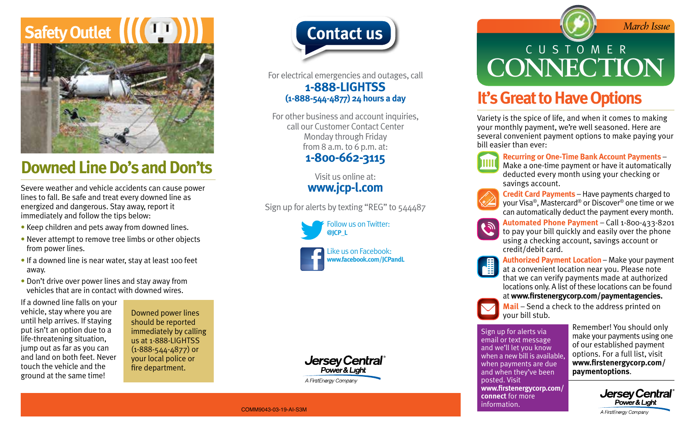# **Safety Outlet**



## **Downed Line Do's and Don'ts**

Severe weather and vehicle accidents can cause power lines to fall. Be safe and treat every downed line as energized and dangerous. Stay away, report it immediately and follow the tips below:

- Keep children and pets away from downed lines.
- Never attempt to remove tree limbs or other objects from power lines.
- If a downed line is near water, stay at least 100 feet away.
- Don't drive over power lines and stay away from vehicles that are in contact with downed wires.

If a downed line falls on your vehicle, stay where you are until help arrives. If staying put isn't an option due to a life-threatening situation, jump out as far as you can and land on both feet. Never touch the vehicle and the ground at the same time!

Downed power lines should be reported immediately by calling us at 1-888-LIGHTSS (1-888-544-4877) or your local police or fire department.



For electrical emergencies and outages, call **1-888-LIGHTSS (1-888-544-4877) 24 hours a day**

For other business and account inquiries, call our Customer Contact Center Monday through Friday from 8 a.m. to 6 p.m. at: **1-800-662-3115**

> Visit us online at: **www.jcp-l.com**

Sign up for alerts by texting "REG" to 544487





**Jersey Central** Power & Light A FirstEnerav Company

# **Contact us Contact us** CUSTOMER **CONNECTION**

#### **It's Great to Have Options**

Variety is the spice of life, and when it comes to making your monthly payment, we're well seasoned. Here are several convenient payment options to make paying your bill easier than ever:



 **Recurring or One-Time Bank Account Payments** – Make a one-time payment or have it automatically deducted every month using your checking or savings account.



 **Credit Card Payments** – Have payments charged to your Visa®, Mastercard® or Discover® one time or we can automatically deduct the payment every month.



 **Automated Phone Payment** – Call 1-800-433-8201 to pay your bill quickly and easily over the phone using a checking account, savings account or credit/debit card.



 **Authorized Payment Location** – Make your payment at a convenient location near you. Please note that we can verify payments made at authorized locations only. A list of these locations can be found at **www.firstenergycorp.com/paymentagencies.**



 **Mail** – Send a check to the address printed on your bill stub.

Sign up for alerts via email or text message and we'll let you know when a new bill is available, when payments are due and when they've been posted. Visit **www.firstenergycorp.com/ connect** for more information.

 Remember! You should only make your payments using one of our established payment options. For a full list, visit **www.firstenergycorp.com/ paymentoptions**.



COMM9043-03-19-AI-S3M